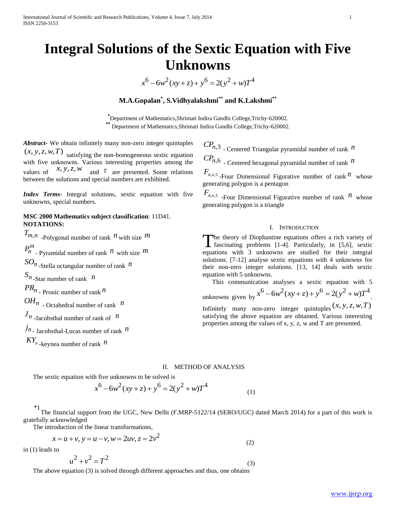# **Integral Solutions of the Sextic Equation with Five Unknowns**

 $x^6 - 6w^2(xy + z) + y^6 = 2(y^2 + w)T^4$ 

# **M.A.Gopalan\* , S.Vidhyalakshmi\*\* and K.Lakshmi\*\***

**\*** Department of Mathematics,Shrimati Indira Gandhi College,Trichy-620002. **\*\*** Department of Mathematics,Shrimati Indira Gandhi College,Trichy-620002.

*Abstract***-** We obtain infinitely many non-zero integer quintuples  $(x, y, z, w, T)$  satisfying the non-homogeneous sextic equation with five unknowns. Various interesting properties among the values of  $x, y, z, w$  and T are presented. Some relations between the solutions and special numbers are exhibited.

*Index Terms*- Integral solutions, sextic equation with five unknowns, special numbers.

## **MSC 2000 Mathematics subject classification**: 11D41. **NOTATIONS:**

 $T_{m,n}$  -Polygonal number of rank  $n$  with size  $m$  $P_{n}^{m}$  - Pyramidal number of rank  $n$  with size  $m$  $SO_n$ <sub>-Stella octangular number of rank  $n$ </sub> *n S* -Star number of rank *n PR<sup>n</sup>* - Pronic number of rank *n*  $OH_n$  - Octahedral number of rank  $n$  $J_n$  -Jacobsthal number of rank of  $n$ *n j* - Jacobsthal-Lucas number of rank *n KY n* -keynea number of rank *n*

*CPn*,3 - Centered Triangular pyramidal number of rank *n*

 $CP_{n,6}$  - Centered hexagonal pyramidal number of rank  $n$ 

 $F_{4,n,5}$ -Four Dimensional Figurative number of rank  $n$  whose generating polygon is a pentagon

 $F_{4,n,3}$  -Four Dimensional Figurative number of rank  $n$  whose generating polygon is a triangle

## I. INTRODUCTION

The theory of Diophantine equations offers a rich variety of fascinating problems [1-4]. Particularly, in [5,6], sextic fascinating problems [1-4]. Particularly, in [5,6], sextic equations with 3 unknowns are studied for their integral solutions. [7-12] analyse sextic equations with 4 unknowns for their non-zero integer solutions. [13, 14] deals with sextic equation with 5 unknowns.

 This communication analyses a sextic equation with 5 This communication analyses a sextic equation with <br>
unknowns given by  $x^6 - 6w^2(xy + z) + y^6 = 2(y^2 + w)T^4$ . Infinitely many non-zero integer quintuples  $(x, y, z, w, T)$ 

satisfying the above equation are obtained. Various interesting properties among the values of x, y, z, w and T are presented.

## II. METHOD OF ANALYSIS

The sextic equation with five unknowns to be solved is  
\n
$$
x^6 - 6w^2(xy + z) + y^6 = 2(y^2 + w)T^4
$$
\n(1)

\*1 The financial support from the UGC, New Delhi (F.MRP-5122/14 (SERO/UGC) dated March 2014) for a part of this work is gratefully acknowledged

The introduction of the linear transformations,  
\n
$$
x = u + v, y = u - v, w = 2uv, z = 2v^2
$$
 (2)

in (1) leads to

$$
u^2 + v^2 = T^2
$$
 (3)

The above equation (3) is solved through different approaches and thus, one obtains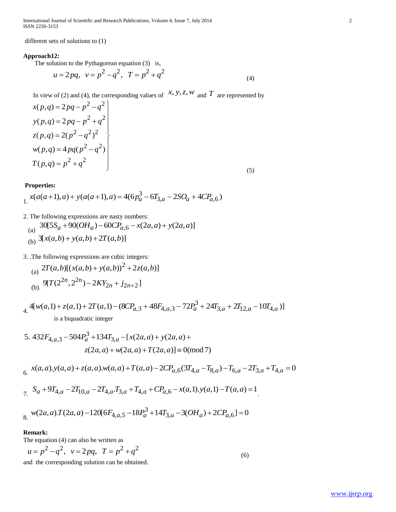International Journal of Scientific and Research Publications, Volume 4, Issue 7, July 2014 2 ISSN 2250-3153

different sets of solutions to (1)

#### **Approach12:**

The solution to the Pythagorean equation (3) is,  
\n
$$
u = 2pq
$$
,  $v = p2 - q2$ ,  $T = p2 + q2$  (4)

In view of (2) and (4), the corresponding values of  $x, y, z, w$  and T are represented by

$$
x(p,q) = 2pq - p2 - q2
$$
  
\n
$$
y(p,q) = 2pq - p2 + q2
$$
  
\n
$$
z(p,q) = 2(p2 - q2)2
$$
  
\n
$$
w(p,q) = 4pq(p2 - q2)
$$
  
\n
$$
T(p,q) = p2 + q2
$$
 (5)

## **Properties:**

Properties:  
\n
$$
x(a(a+1),a) + y(a(a+1),a) = 4(6p_a^3 - 6T_{3,a} - 2SO_a + 4CP_{a,6})
$$

2. The following expressions are nasty numbers:

2. The following expressions are nasty numbers:  
\n(a) 
$$
30[5S_a + 90(OH_a) - 60CP_{a,6} - x(2a,a) + y(2a,a)]
$$
  
\n(b)  $3[x(a,b) + y(a,b) + 2T(a,b)]$ 

3. The following expressions are cubic integers:  
\n(a) 
$$
2T(a,b)[(x(a,b) + y(a,b))^2 + 2z(a,b)]
$$
\n(b) 
$$
9[T(2^{2n},2^{2n}) - 2KY_{2n} + j_{2n+2}]
$$

4. 3 (a)<br>
(b).  $9[T(2^{2n}, 2^{2n}) - 2KY_{2n} + j_{2n+2}]$ <br>  $4[w(a,1) + z(a,1) + 2T(a,1) - (8CP_{a,3} + 48F_{4,a,3} - 72P_a^3 + 24T_{3,a} + 2T_{12,a} - 10T_{4,a})]$ <br>
is a binum during integer. is a biquadratic integer

is a biquadratic integer  
\n5. 
$$
432F_{4,a,3} - 504P_a^3 + 134T_{3,a} - [x(2a, a) + y(2a, a) + z(2a, a) + w(2a, a) + T(2a, a)] \equiv 0 \pmod{7}
$$
  
\n6.  $x(a, a), y(a, a) + z(a, a), w(a, a) + T(a, a) - 2CP_{a,6}(3T_{4,a} - T_{8,a}) - T_{6,a} - 2T_{3,a} + T_{4,a} = 0$   
\n7.  $S_a + 9T_{4,a} - 2T_{10,a} - 2T_{4,a}T_{3,a} + T_{4,a} + CP_{a,6} - x(a,1), y(a,1) - T(a, a) = 1$   
\n8.  $w(2a, a), T(2a, a) - 120[6F_{4,a,5} - 18P_a^3 + 14T_{3,a} - 3(OH_a) + 2CP_{a,6}] = 0$ 

#### **Remark:**

The equation (4) can also be written as  
\n
$$
u = p^2 - q^2
$$
,  $v = 2pq$ ,  $T = p^2 + q^2$   
\nand the corresponding solution can be obtained. (6)

[www.ijsrp.org](http://ijsrp.org/)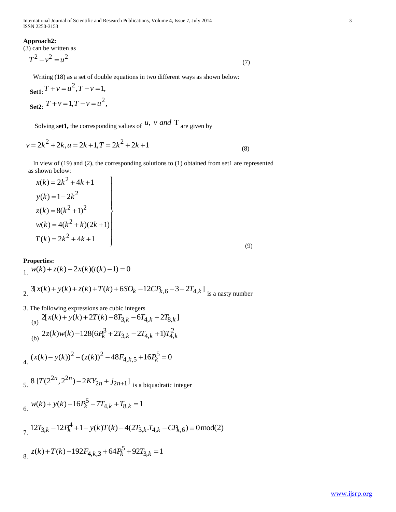International Journal of Scientific and Research Publications, Volume 4, Issue 7, July 2014 3 ISSN 2250-3153

#### **Approach2:**

(3) can be written as

$$
T^2 - v^2 = u^2 \tag{7}
$$

Set1: 
$$
T + v = u^2
$$
,  $T - v = 1$ ,  
Set2:  $T + v = 1$ ,  $T - v = u^2$ ,

Solving **set1**, the corresponding values of  $u$ ,  $v$  and  $T$  are given by

$$
v = 2k^2 + 2k, u = 2k + 1, T = 2k^2 + 2k + 1
$$
\n(8)

 In view of (19) and (2), the corresponding solutions to (1) obtained from set1 are represented as shown below:  $\overline{1}$ 

$$
x(k) = 2k^{2} + 4k + 1
$$
  
\n
$$
y(k) = 1 - 2k^{2}
$$
  
\n
$$
z(k) = 8(k^{2} + 1)^{2}
$$
  
\n
$$
w(k) = 4(k^{2} + k)(2k + 1)
$$
  
\n
$$
T(k) = 2k^{2} + 4k + 1
$$
  
\n(9)

#### **Properties:**

1. 
$$
w(k) + z(k) - 2x(k)(t(k) - 1) = 0
$$

1.  $w(k) + z(k) - 2x(k)(t(k) - 1) = 0$ <br>2.  $3[x(k) + y(k) + z(k) + T(k) + 6SO_k - 12CP_{k,6} - 3 - 2T_{4,k}]$  is a nasty number

3. The following expressions are cubic integers

3. The following expressions are cubic integers  
\n(a) 
$$
2[x(k) + y(k) + 2T(k) - 8T_{3,k} - 6T_{4,k} + 2T_{8,k}]
$$
  
\n(b)  $2z(k)w(k) - 128(6P_k^3 + 2T_{3,k} - 2T_{4,k} + 1)T_{4,k}^2$   
\n $4. (x(k) - y(k))^2 - (z(k))^2 - 48F_{4,k,5} + 16P_k^5 = 0$ 

$$
4. \ (x(k) - y(k))^2 - (z(k))^2 - 48F_{4,k,5} + 16P_k^2 = 0
$$

5. 
$$
8 [T(2^{2n}, 2^{2n}) - 2KY_{2n} + j_{2n+1}]
$$
 is a biquadratic integer  
6.  $w(k) + y(k) - 16P_k^5 - 7T_{4,k} + T_{8,k} = 1$ 

6. 
$$
12T_{3,k} - 12P_k^4 + 1 - y(k)T(k) - 4(2T_{3,k}T_{4,k} - CP_{k,6}) \equiv 0 \mod{2}
$$
  
\n7.  $12T_{3,k} - 12P_k^4 + 1 - y(k)T(k) - 4(2T_{3,k}T_{4,k} - CP_{k,6}) \equiv 0 \mod{2}$   
\n8.  $z(k) + T(k) - 192F_{4,k,3} + 64P_k^5 + 92T_{3,k} = 1$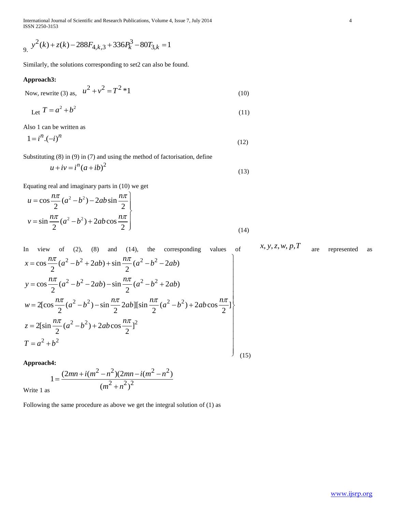International Journal of Scientific and Research Publications, Volume 4, Issue 7, July 2014 4 ISSN 2250-3153

$$
y^2(k) + z(k) - 288F_{4,k,3} + 336P_k^3 - 80T_{3,k} = 1
$$

Similarly, the solutions corresponding to set2 can also be found.

#### **Approach3:**

Now, rewrite (3) as, 
$$
u^2 + v^2 = T^2 * 1
$$
 (10)

$$
Let T = a^2 + b^2 \tag{11}
$$

Also 1 can be written as

$$
1 = i^n \cdot (-i)^n \tag{12}
$$

Substituting (8) in (9) in (7) and using the method of factorisation, define

$$
u + iv = in (a + ib)2
$$
 (13)

Equating real and imaginary parts in (10) we get  
\n
$$
u = \cos \frac{n\pi}{2} (a^2 - b^2) - 2ab \sin \frac{n\pi}{2}
$$
\n
$$
v = \sin \frac{n\pi}{2} (a^2 - b^2) + 2ab \cos \frac{n\pi}{2}
$$
\n(14)

In view of (2), (8) and (14), the corresponding values of 
$$
x, y, z, w, p, T
$$
 are represented as  $x = \cos \frac{n\pi}{2} (a^2 - b^2 + 2ab) + \sin \frac{n\pi}{2} (a^2 - b^2 - 2ab)$   
\n $y = \cos \frac{n\pi}{2} (a^2 - b^2 - 2ab) - \sin \frac{n\pi}{2} (a^2 - b^2 + 2ab)$   
\n $w = 2[\cos \frac{n\pi}{2} (a^2 - b^2) - \sin \frac{n\pi}{2} 2ab][\sin \frac{n\pi}{2} (a^2 - b^2) + 2ab \cos \frac{n\pi}{2}]$   
\n $z = 2[\sin \frac{n\pi}{2} (a^2 - b^2) + 2ab \cos \frac{n\pi}{2}]^2$   
\n $T = a^2 + b^2$  (15)

**Approach4:**

$$
1 = \frac{(2mn + i(m^2 - n^2)(2mn - i(m^2 - n^2))}{(m^2 + n^2)^2}
$$

Write 1 as

Following the same procedure as above we get the integral solution of (1) as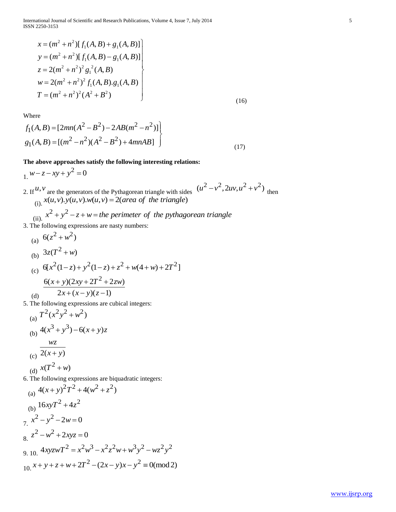International Journal of Scientific and Research Publications, Volume 4, Issue 7, July 2014 5 ISSN 2250-3153

$$
x = (m2 + n2)[f1(A, B) + g1(A, B)]
$$
  
\n
$$
y = (m2 + n2)[f1(A, B) - g1(A, B)]
$$
  
\n
$$
z = 2(m2 + n2)2 g12(A, B)
$$
  
\n
$$
w = 2(m2 + n2)2 f1(A, B) g1(A, B)
$$
  
\n
$$
T = (m2 + n2)2 (A2 + B2)
$$
 (16)

Where

Where  
\n
$$
f_1(A, B) = [2mn(A^2 - B^2) - 2AB(m^2 - n^2)]
$$
\n
$$
g_1(A, B) = [(m^2 - n^2)(A^2 - B^2) + 4mnAB]
$$
\n(17)

**The above approaches satisfy the following interesting relations:**

1.  $w - z - xy + y^2 = 0$ 

- 2. If  $u, v$  are the generators of the Pythagorean triangle with sides  $(u^2 v^2, 2uv, u^2 + v^2)$  then 2. If  $u, v$  are the generators of the Pythagorean triangle with side (i).  $x(u, v) \cdot y(u, v) \cdot w(u, v) = 2(\text{area of the triangle})$ (ii).  $x^2 + y^2 - z + w$  = the perimeter of the pythagorean triangle are the generators of the Pythagorean triangle with sides<br>  $x(u, v) . y(u, v) . w(u, v) = 2(\text{area of the triangle})$ <br>  $x^2 + y^2 - z + w =$  the perimeter of the pythagorean triangle
- 3. The following expressions are nasty numbers:

(a) 
$$
6(z^2 + w^2)
$$
  
\n(b)  $3z(T^2 + w)$   
\n(c)  $6[x^2(1-z) + y^2(1-z) + z^2 + w(4+w) + 2T^2]$   
\n $\frac{6(x+y)(2xy + 2T^2 + 2zw)}{2x + (x-y)(z-1)}$ 

5. The following expressions are cubical integers:

(a) 
$$
T^2(x^2y^2 + w^2)
$$
  
\n(b)  $4(x^3 + y^3) - 6(x + y)z$   
\n(c)  $\frac{wz}{2(x + y)}$   
\n(d)  $x(T^2 + w)$ 

6. The following expressions are biquadratic integers:  
\n(a) 
$$
4(x + y)^2 T^2 + 4(w^2 + z^2)
$$
  
\n(b)  $16xyT^2 + 4z^2$   
\n7.  $x^2 - y^2 - 2w = 0$   
\n8.  $z^2 - w^2 + 2xyz = 0$   
\n9. 10.  $4xyzwT^2 = x^2w^3 - x^2z^2w + w^3y^2 - wz^2y^2$   
\n10.  $x + y + z + w + 2T^2 - (2x - y)x - y^2 \equiv 0 \pmod{2}$